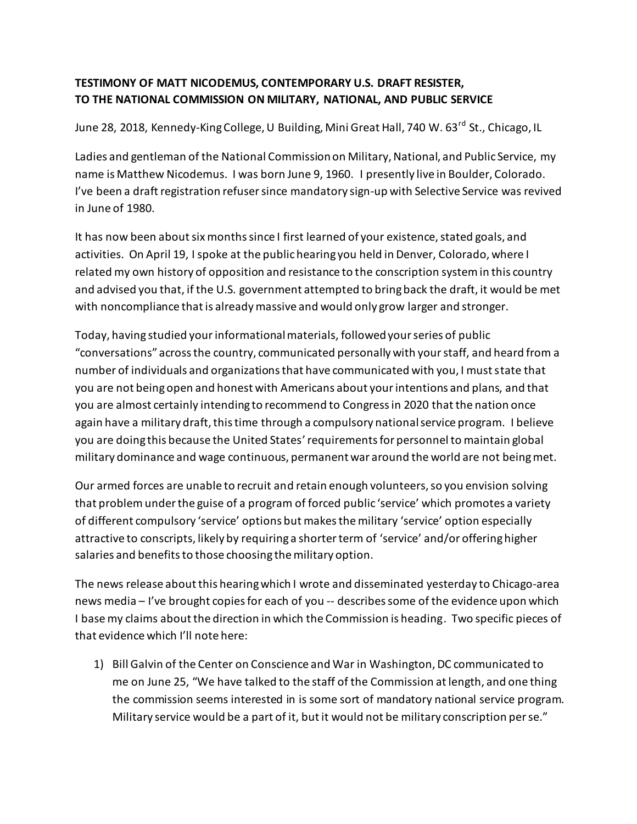## **TESTIMONY OF MATT NICODEMUS, CONTEMPORARY U.S. DRAFT RESISTER, TO THE NATIONAL COMMISSION ON MILITARY, NATIONAL, AND PUBLIC SERVICE**

June 28, 2018, Kennedy-King College, U Building, Mini Great Hall, 740 W. 63<sup>rd</sup> St., Chicago. IL

Ladies and gentleman of the National Commission on Military, National, and Public Service, my name is Matthew Nicodemus. I was born June 9, 1960. I presently live in Boulder, Colorado. I've been a draft registration refuser since mandatory sign-up with Selective Service was revived in June of 1980.

It has now been about six months since I first learned of your existence, stated goals, and activities. On April 19, I spoke at the public hearing you held in Denver, Colorado, where I related my own history of opposition and resistance to the conscription system in this country and advised you that, if the U.S. government attempted to bring back the draft, it would be met with noncompliance that is already massive and would only grow larger and stronger.

Today, having studied your informational materials, followed your series of public "conversations" across the country, communicated personally with your staff, and heard from a number of individuals and organizations that have communicated with you, I must state that you are not being open and honest with Americans about your intentions and plans, and that you are almost certainly intending to recommend to Congress in 2020 that the nation once again have a military draft, this time through a compulsory national service program. I believe you are doing this because the United States' requirements for personnel to maintain global military dominance and wage continuous, permanent war around the world are not being met.

Our armed forces are unable to recruit and retain enough volunteers, so you envision solving that problem under the guise of a program of forced public 'service' which promotes a variety of different compulsory 'service' options but makes the military 'service' option especially attractive to conscripts, likely by requiring a shorter term of 'service' and/or offering higher salaries and benefits to those choosing the military option.

The news release about this hearing which I wrote and disseminated yesterday to Chicago-area news media – I've brought copies for each of you -- describes some of the evidence upon which I base my claims about the direction in which the Commission is heading. Two specific pieces of that evidence which I'll note here:

1) Bill Galvin of the Center on Conscience and War in Washington, DC communicated to me on June 25, "We have talked to the staff of the Commission at length, and one thing the commission seems interested in is some sort of mandatory national service program. Military service would be a part of it, but it would not be military conscription per se."